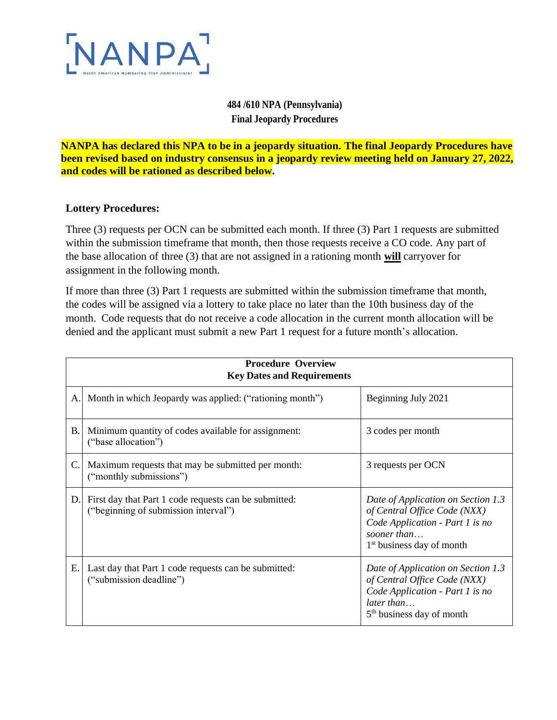

## **484 /610 NPA (Pennsylvania) Final Jeopardy Procedures**

**NANPA has declared this NPA to be in a jeopardy situation. The final Jeopardy Procedures have been revised based on industry consensus in a jeopardy review meeting held on January 27, 2022, and codes will be rationed as described below.**

## **Lottery Procedures:**

Three (3) requests per OCN can be submitted each month. If three (3) Part 1 requests are submitted within the submission timeframe that month, then those requests receive a CO code. Any part of the base allocation of three (3) that are not assigned in a rationing month **will** carryover for assignment in the following month.

If more than three (3) Part 1 requests are submitted within the submission timeframe that month, the codes will be assigned via a lottery to take place no later than the 10th business day of the month. Code requests that do not receive a code allocation in the current month allocation will be denied and the applicant must submit a new Part 1 request for a future month's allocation.

| <b>Procedure Overview</b><br><b>Key Dates and Requirements</b> |                                                                                               |                                                                                                                                                               |  |
|----------------------------------------------------------------|-----------------------------------------------------------------------------------------------|---------------------------------------------------------------------------------------------------------------------------------------------------------------|--|
| A.                                                             | Month in which Jeopardy was applied: ("rationing month")                                      | Beginning July 2021                                                                                                                                           |  |
| <b>B.</b>                                                      | Minimum quantity of codes available for assignment:<br>("base allocation")                    | 3 codes per month                                                                                                                                             |  |
| C.                                                             | Maximum requests that may be submitted per month:<br>("monthly submissions")                  | 3 requests per OCN                                                                                                                                            |  |
| D.                                                             | First day that Part 1 code requests can be submitted:<br>("beginning of submission interval") | Date of Application on Section 1.3<br>of Central Office Code (NXX)<br>Code Application - Part 1 is no<br>sooner than<br>1 <sup>st</sup> business day of month |  |
| E.                                                             | Last day that Part 1 code requests can be submitted:<br>("submission deadline")               | Date of Application on Section 1.3<br>of Central Office Code (NXX)<br>Code Application - Part 1 is no<br>later than<br>5 <sup>th</sup> business day of month  |  |